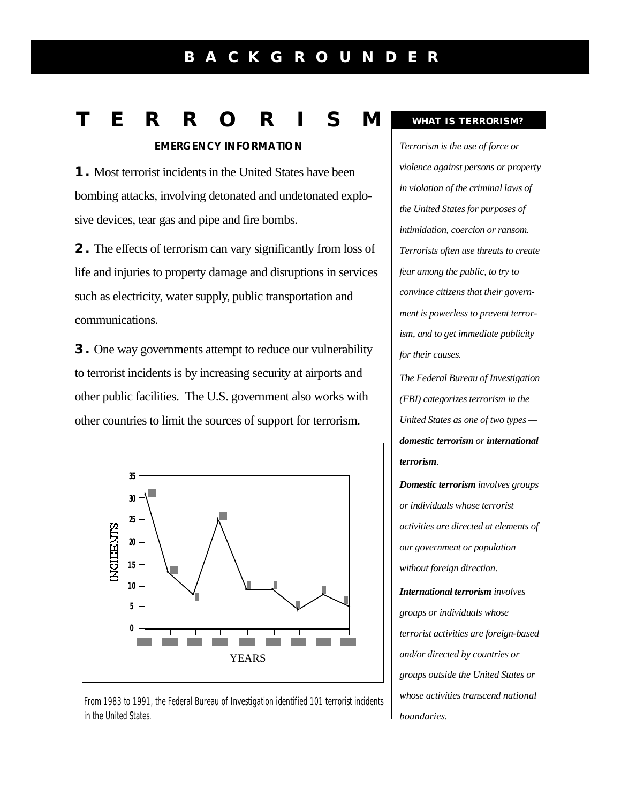## **B A C K G R O U N D E R**

# **T E R R O R I S M**

**EMERGENCY INFORMATION**

**1.** Most terrorist incidents in the United States have been bombing attacks, involving detonated and undetonated explosive devices, tear gas and pipe and fire bombs.

**2.** The effects of terrorism can vary significantly from loss of life and injuries to property damage and disruptions in services such as electricity, water supply, public transportation and communications.

**3.** One way governments attempt to reduce our vulnerability to terrorist incidents is by increasing security at airports and other public facilities. The U.S. government also works with other countries to limit the sources of support for terrorism.



From 1983 to 1991, the Federal Bureau of Investigation identified 101 terrorist incidents in the United States.

#### **WHAT IS TERRORISM?**

*Terrorism is the use of force or violence against persons or property in violation of the criminal laws of the United States for purposes of intimidation, coercion or ransom. Terrorists often use threats to create fear among the public, to try to convince citizens that their government is powerless to prevent terrorism, and to get immediate publicity for their causes.*

*The Federal Bureau of Investigation (FBI) categorizes terrorism in the United States as one of two types domestic terrorism or international terrorism.*

*Domestic terrorism involves groups or individuals whose terrorist activities are directed at elements of our government or population without foreign direction. International terrorism involves groups or individuals whose terrorist activities are foreign-based and/or directed by countries or groups outside the United States or whose activities transcend national boundaries.*